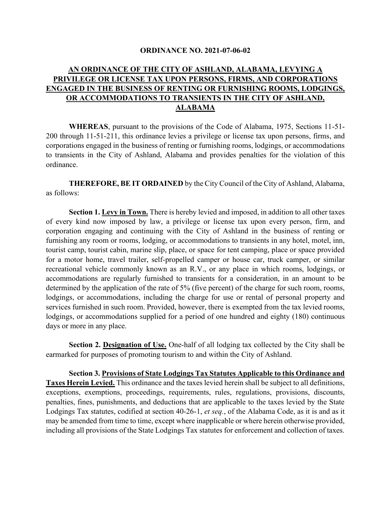#### **ORDINANCE NO. 2021-07-06-02**

## **AN ORDINANCE OF THE CITY OF ASHLAND, ALABAMA, LEVYING A PRIVILEGE OR LICENSE TAX UPON PERSONS, FIRMS, AND CORPORATIONS ENGAGED IN THE BUSINESS OF RENTING OR FURNISHING ROOMS, LODGINGS, OR ACCOMMODATIONS TO TRANSIENTS IN THE CITY OF ASHLAND, ALABAMA**

**WHEREAS**, pursuant to the provisions of the Code of Alabama, 1975, Sections 11-51- 200 through 11-51-211, this ordinance levies a privilege or license tax upon persons, firms, and corporations engaged in the business of renting or furnishing rooms, lodgings, or accommodations to transients in the City of Ashland, Alabama and provides penalties for the violation of this ordinance.

**THEREFORE, BE IT ORDAINED** by the City Council of the City of Ashland, Alabama, as follows:

**Section 1. Levy in Town.** There is hereby levied and imposed, in addition to all other taxes of every kind now imposed by law, a privilege or license tax upon every person, firm, and corporation engaging and continuing with the City of Ashland in the business of renting or furnishing any room or rooms, lodging, or accommodations to transients in any hotel, motel, inn, tourist camp, tourist cabin, marine slip, place, or space for tent camping, place or space provided for a motor home, travel trailer, self-propelled camper or house car, truck camper, or similar recreational vehicle commonly known as an R.V., or any place in which rooms, lodgings, or accommodations are regularly furnished to transients for a consideration, in an amount to be determined by the application of the rate of 5% (five percent) of the charge for such room, rooms, lodgings, or accommodations, including the charge for use or rental of personal property and services furnished in such room. Provided, however, there is exempted from the tax levied rooms, lodgings, or accommodations supplied for a period of one hundred and eighty (180) continuous days or more in any place.

**Section 2. Designation of Use.** One-half of all lodging tax collected by the City shall be earmarked for purposes of promoting tourism to and within the City of Ashland.

**Section 3. Provisions of State Lodgings Tax Statutes Applicable to this Ordinance and Taxes Herein Levied.** This ordinance and the taxes levied herein shall be subject to all definitions, exceptions, exemptions, proceedings, requirements, rules, regulations, provisions, discounts, penalties, fines, punishments, and deductions that are applicable to the taxes levied by the State Lodgings Tax statutes, codified at section 40-26-1, *et seq.*, of the Alabama Code, as it is and as it may be amended from time to time, except where inapplicable or where herein otherwise provided, including all provisions of the State Lodgings Tax statutes for enforcement and collection of taxes.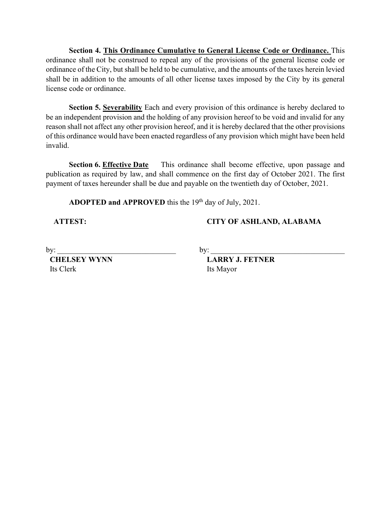**Section 4. This Ordinance Cumulative to General License Code or Ordinance.** This ordinance shall not be construed to repeal any of the provisions of the general license code or ordinance of the City, but shall be held to be cumulative, and the amounts of the taxes herein levied shall be in addition to the amounts of all other license taxes imposed by the City by its general license code or ordinance.

**Section 5. Severability** Each and every provision of this ordinance is hereby declared to be an independent provision and the holding of any provision hereof to be void and invalid for any reason shall not affect any other provision hereof, and it is hereby declared that the other provisions of this ordinance would have been enacted regardless of any provision which might have been held invalid.

**Section 6. Effective Date** This ordinance shall become effective, upon passage and publication as required by law, and shall commence on the first day of October 2021. The first payment of taxes hereunder shall be due and payable on the twentieth day of October, 2021.

ADOPTED and APPROVED this the 19<sup>th</sup> day of July, 2021.

# **ATTEST: CITY OF ASHLAND, ALABAMA**

Its Clerk Its Mayor

by:  $\Box$ 

 **CHELSEY WYNN LARRY J. FETNER**